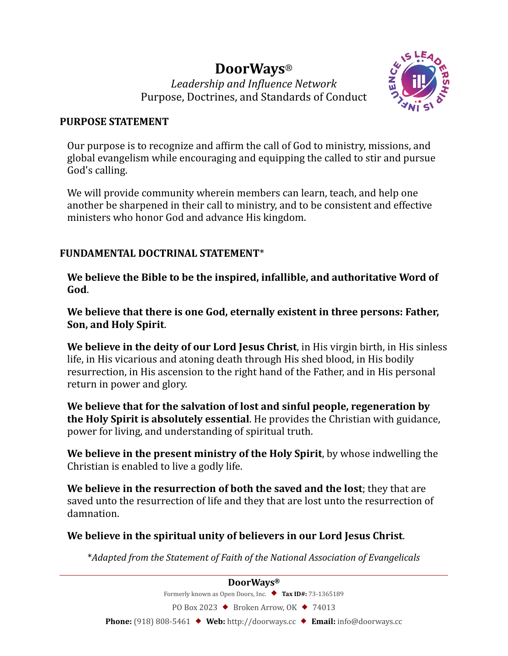# **DoorWays**®

*Leadership and In-luence Network*  Purpose, Doctrines, and Standards of Conduct



#### **PURPOSE STATEMENT**

Our purpose is to recognize and affirm the call of God to ministry, missions, and global evangelism while encouraging and equipping the called to stir and pursue God's calling.

We will provide community wherein members can learn, teach, and help one another be sharpened in their call to ministry, and to be consistent and effective ministers who honor God and advance His kingdom.

## **FUNDAMENTAL DOCTRINAL STATEMENT**\*

**We believe the Bible to be the inspired, infallible, and authoritative Word of God**.

**We believe that there is one God, eternally existent in three persons: Father, Son, and Holy Spirit**.

**We believe in the deity of our Lord Jesus Christ**, in His virgin birth, in His sinless life, in His vicarious and atoning death through His shed blood, in His bodily resurrection, in His ascension to the right hand of the Father, and in His personal return in power and glory.

**We believe that for the salvation of lost and sinful people, regeneration by the Holy Spirit is absolutely essential**. He provides the Christian with guidance, power for living, and understanding of spiritual truth.

**We believe in the present ministry of the Holy Spirit**, by whose indwelling the Christian is enabled to live a godly life.

**We believe in the resurrection of both the saved and the lost**; they that are saved unto the resurrection of life and they that are lost unto the resurrection of damnation.

## **We believe in the spiritual unity of believers in our Lord Jesus Christ**.

\**Adapted from the Statement of Faith of the National Association of Evangelicals*